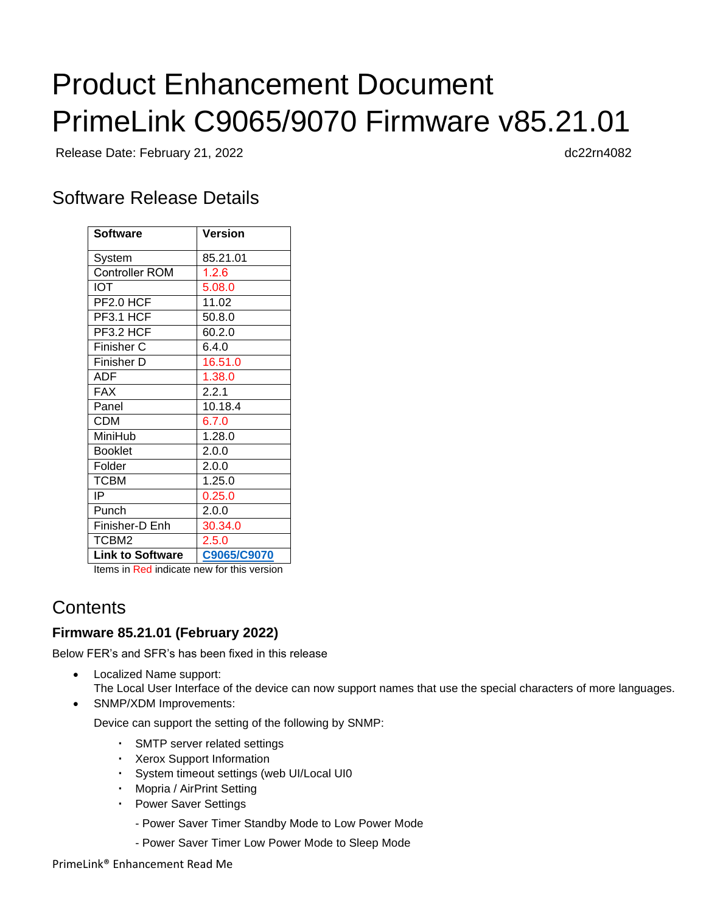# Product Enhancement Document PrimeLink C9065/9070 Firmware v85.21.01

Release Date: February 21, 2022 and the control of the control of the control of the control of the control of the control of the control of the control of the control of the control of the control of the control of the co

## Software Release Details

| <b>Software</b>         | <b>Version</b> |
|-------------------------|----------------|
| System                  | 85.21.01       |
| <b>Controller ROM</b>   | 1.2.6          |
| <b>IOT</b>              | 5.08.0         |
| PF2.0 HCF               | 11.02          |
| PF3.1 HCF               | 50.8.0         |
| PF3.2 HCF               | 60.2.0         |
| Finisher C              | 6.4.0          |
| Finisher D              | 16.51.0        |
| ADF                     | 1.38.0         |
| <b>FAX</b>              | 2.2.1          |
| Panel                   | 10.18.4        |
| <b>CDM</b>              | 6.7.0          |
| MiniHub                 | 1.28.0         |
| <b>Booklet</b>          | 2.0.0          |
| Folder                  | 2.0.0          |
| <b>TCBM</b>             | 1.25.0         |
| IP                      | 0.25.0         |
| Punch                   | 2.0.0          |
| Finisher-D Enh          | 30.34.0        |
| TCBM2                   | 2.5.0          |
| <b>Link to Software</b> | C9065/C9070    |

Items in Red indicate new for this version

## **Contents**

#### **Firmware 85.21.01 (February 2022)**

Below FER's and SFR's has been fixed in this release

- Localized Name support: The Local User Interface of the device can now support names that use the special characters of more languages.
- SNMP/XDM Improvements:

Device can support the setting of the following by SNMP:

- ・ SMTP server related settings
- ・ Xerox Support Information
- ・ System timeout settings (web UI/Local UI0
- ・ Mopria / AirPrint Setting
- ・ Power Saver Settings
	- Power Saver Timer Standby Mode to Low Power Mode
	- Power Saver Timer Low Power Mode to Sleep Mode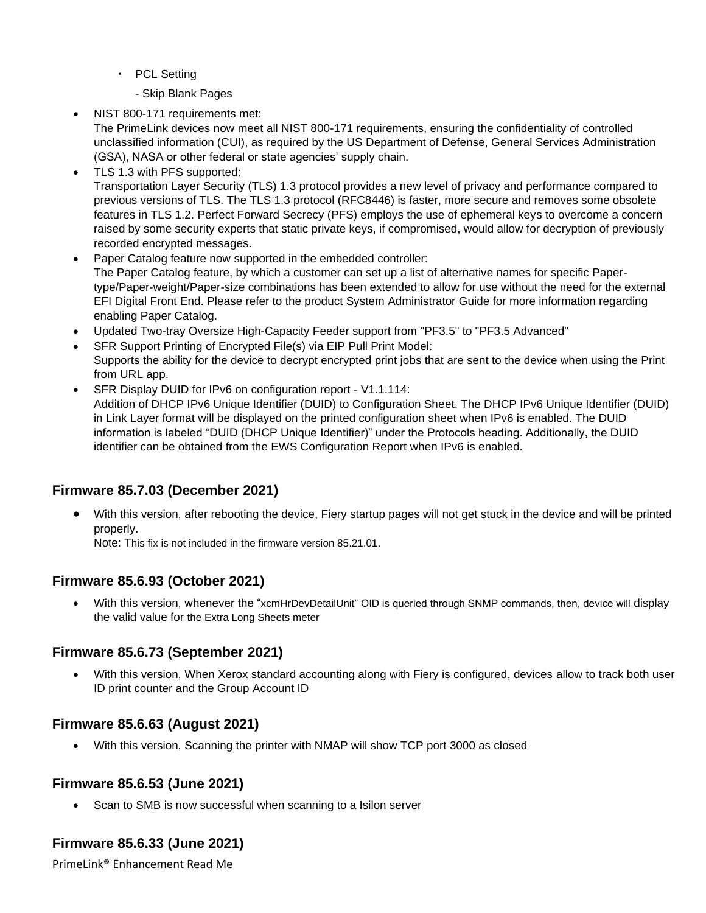- ・ PCL Setting
	- Skip Blank Pages
- NIST 800-171 requirements met:

The PrimeLink devices now meet all NIST 800-171 requirements, ensuring the confidentiality of controlled unclassified information (CUI), as required by the US Department of Defense, General Services Administration (GSA), NASA or other federal or state agencies' supply chain.

- TLS 1.3 with PFS supported: Transportation Layer Security (TLS) 1.3 protocol provides a new level of privacy and performance compared to previous versions of TLS. The TLS 1.3 protocol (RFC8446) is faster, more secure and removes some obsolete features in TLS 1.2. Perfect Forward Secrecy (PFS) employs the use of ephemeral keys to overcome a concern raised by some security experts that static private keys, if compromised, would allow for decryption of previously recorded encrypted messages.
- Paper Catalog feature now supported in the embedded controller: The Paper Catalog feature, by which a customer can set up a list of alternative names for specific Papertype/Paper-weight/Paper-size combinations has been extended to allow for use without the need for the external EFI Digital Front End. Please refer to the product System Administrator Guide for more information regarding enabling Paper Catalog.
- Updated Two-tray Oversize High-Capacity Feeder support from "PF3.5" to "PF3.5 Advanced"
- SFR Support Printing of Encrypted File(s) via EIP Pull Print Model: Supports the ability for the device to decrypt encrypted print jobs that are sent to the device when using the Print from URL app.
- SFR Display DUID for IPv6 on configuration report V1.1.114: Addition of DHCP IPv6 Unique Identifier (DUID) to Configuration Sheet. The DHCP IPv6 Unique Identifier (DUID) in Link Layer format will be displayed on the printed configuration sheet when IPv6 is enabled. The DUID information is labeled "DUID (DHCP Unique Identifier)" under the Protocols heading. Additionally, the DUID identifier can be obtained from the EWS Configuration Report when IPv6 is enabled.

#### **Firmware 85.7.03 (December 2021)**

• With this version, after rebooting the device, Fiery startup pages will not get stuck in the device and will be printed properly.

Note: This fix is not included in the firmware version 85.21.01.

#### **Firmware 85.6.93 (October 2021)**

• With this version, whenever the "xcmHrDevDetailUnit" OID is queried through SNMP commands, then, device will display the valid value for the Extra Long Sheets meter

#### **Firmware 85.6.73 (September 2021)**

• With this version, When Xerox standard accounting along with Fiery is configured, devices allow to track both user ID print counter and the Group Account ID

#### **Firmware 85.6.63 (August 2021)**

• With this version, Scanning the printer with NMAP will show TCP port 3000 as closed

#### **Firmware 85.6.53 (June 2021)**

• Scan to SMB is now successful when scanning to a Isilon server

#### **Firmware 85.6.33 (June 2021)**

PrimeLink® Enhancement Read Me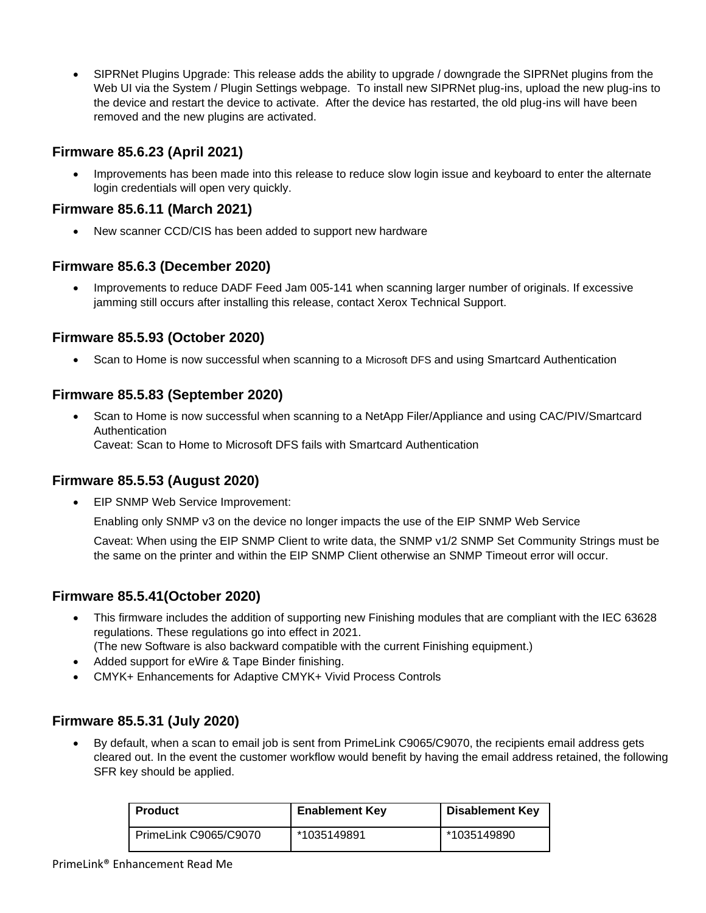• SIPRNet Plugins Upgrade: This release adds the ability to upgrade / downgrade the SIPRNet plugins from the Web UI via the System / Plugin Settings webpage. To install new SIPRNet plug-ins, upload the new plug-ins to the device and restart the device to activate. After the device has restarted, the old plug-ins will have been removed and the new plugins are activated.

#### **Firmware 85.6.23 (April 2021)**

• Improvements has been made into this release to reduce slow login issue and keyboard to enter the alternate login credentials will open very quickly.

#### **Firmware 85.6.11 (March 2021)**

• New scanner CCD/CIS has been added to support new hardware

#### **Firmware 85.6.3 (December 2020)**

• Improvements to reduce DADF Feed Jam 005-141 when scanning larger number of originals. If excessive jamming still occurs after installing this release, contact Xerox Technical Support.

#### **Firmware 85.5.93 (October 2020)**

• Scan to Home is now successful when scanning to a Microsoft DFS and using Smartcard Authentication

#### **Firmware 85.5.83 (September 2020)**

• Scan to Home is now successful when scanning to a NetApp Filer/Appliance and using CAC/PIV/Smartcard **Authentication** Caveat: Scan to Home to Microsoft DFS fails with Smartcard Authentication

#### **Firmware 85.5.53 (August 2020)**

• EIP SNMP Web Service Improvement:

Enabling only SNMP v3 on the device no longer impacts the use of the EIP SNMP Web Service

Caveat: When using the EIP SNMP Client to write data, the SNMP v1/2 SNMP Set Community Strings must be the same on the printer and within the EIP SNMP Client otherwise an SNMP Timeout error will occur.

#### **Firmware 85.5.41(October 2020)**

- This firmware includes the addition of supporting new Finishing modules that are compliant with the IEC 63628 regulations. These regulations go into effect in 2021.
- (The new Software is also backward compatible with the current Finishing equipment.)
- Added support for eWire & Tape Binder finishing.
- CMYK+ Enhancements for Adaptive CMYK+ Vivid Process Controls

#### **Firmware 85.5.31 (July 2020)**

• By default, when a scan to email job is sent from PrimeLink C9065/C9070, the recipients email address gets cleared out. In the event the customer workflow would benefit by having the email address retained, the following SFR key should be applied.

| <b>Product</b>        | <b>Enablement Key</b> | <b>Disablement Key</b> |
|-----------------------|-----------------------|------------------------|
| PrimeLink C9065/C9070 | *1035149891           | *1035149890            |